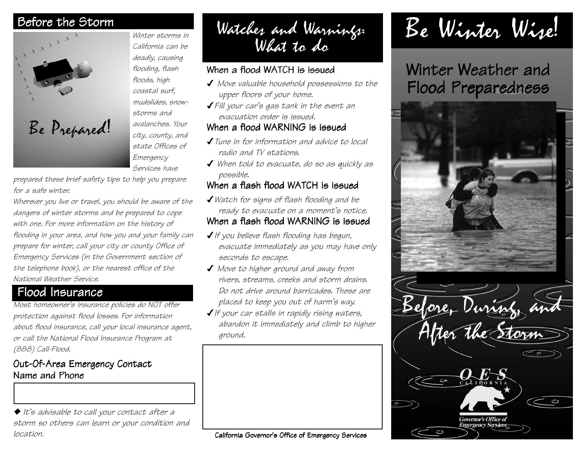

*Winter storms in California can be deadly, causing flooding, flash floods, high coastal surf, mudslides, snowstorms and avalanches. Your city, county, and state Offices of Emergency Services have*

*prepared these brief safety tips to help you prepare for a safe winter.*

*Wherever you live or travel, you should be aware of the dangers of winter storms and be prepared to cope with one. For more information on the history of flooding in your area, and how you and your family can prepare for winter, call your city or county Office of Emergency Services (in the Government section of the telephone book), or the nearest office of the National Weather Service.*

### Flood Insurance

*Most homeowner's insurance policies do NOT offer protection against flood losses. For information about flood insurance, call your local insurance agent, or call the National Flood Insurance Program at (888) Call-Flood.*

#### Out-Of-Area Emergency Contact Name and Phone

◆ *It's advisable to call your contact after a storm so others can learn or your condition and location.* California Governor's Office of Emergency Services

Before the Storm Winter storms in Watches and Warnings:<br>California can be What to do

#### When a flood WATCH is issued

- ✔ *Move valuable household possessions to the upper floors of your home.*
- ✔*Fill your car's gas tank in the event an evacuation order is issued.*

#### When a flood WARNING is issued

- ✔*Tune in for information and advice to local radio and TV stations.*
- ✔ *When told to evacuate, do so as quickly as possible.*

#### When a flash flood WATCH is issued

✔*Watch for signs of flash flooding and be ready to evacuate on a moment's notice.*

#### When a flash flood WARNING is issued

- ✔*If you believe flash flooding has begun, evacuate immediately as you may have only seconds to escape.*
- ✔ *Move to higher ground and away from rivers, streams, creeks and storm drains. Do not drive around barricades. These are placed to keep you out of harm's way.*
- ✔*If your car stalls in rapidly rising waters, abandon it immediately and climb to higher ground.*

# Be Winter Wise!

## Winter Weather and Flood Preparedness